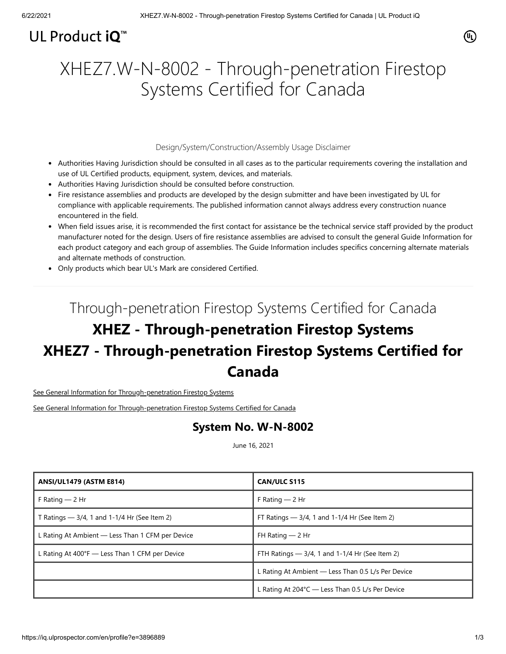### UL Product  $iQ^m$

# XHEZ7.W-N-8002 - Through-penetration Firestop Systems Certified for Canada

### Design/System/Construction/Assembly Usage Disclaimer

- Authorities Having Jurisdiction should be consulted in all cases as to the particular requirements covering the installation and use of UL Certified products, equipment, system, devices, and materials.
- Authorities Having Jurisdiction should be consulted before construction.
- Fire resistance assemblies and products are developed by the design submitter and have been investigated by UL for compliance with applicable requirements. The published information cannot always address every construction nuance encountered in the field.
- When field issues arise, it is recommended the first contact for assistance be the technical service staff provided by the product manufacturer noted for the design. Users of fire resistance assemblies are advised to consult the general Guide Information for each product category and each group of assemblies. The Guide Information includes specifics concerning alternate materials and alternate methods of construction.
- Only products which bear UL's Mark are considered Certified.

# Through-penetration Firestop Systems Certified for Canada **XHEZ - Through-penetration Firestop Systems XHEZ7 - Through-penetration Firestop Systems Certified for Canada**

[See General Information for Through-penetration Firestop Systems](http://lis.ul.com/cgi-bin/XYV/template/LISINT242/1FRAME/showpage.html?&name=XHEZ.GuideInfo&ccnshorttitle=Through-penetration+Firestop+Systems&objid=1074338240&cfgid=1073741824&version=versionless&parent_id=1073995580&sequence=1)

[See General Information for Through-penetration Firestop Systems](http://lis.ul.com/cgi-bin/XYV/template/LISINT242/1FRAME/showpage.html?&name=XHEZ.GuideInfo&ccnshorttitle=Through-penetration+Firestop+Systems&objid=1074338240&cfgid=1073741824&version=versionless&parent_id=1073995580&sequence=1) Certified for Canada

### **System No. W-N-8002**

June 16, 2021

| <b>ANSI/UL1479 (ASTM E814)</b>                          | <b>CAN/ULC S115</b>                                |
|---------------------------------------------------------|----------------------------------------------------|
| F Rating $-$ 2 Hr                                       | F Rating $-2$ Hr                                   |
| T Ratings $-3/4$ , 1 and 1-1/4 Hr (See Item 2)          | FT Ratings $-3/4$ , 1 and 1-1/4 Hr (See Item 2)    |
| L Rating At Ambient — Less Than 1 CFM per Device        | FH Rating $-2$ Hr                                  |
| L Rating At $400^{\circ}F$ — Less Than 1 CFM per Device | FTH Ratings $-3/4$ , 1 and 1-1/4 Hr (See Item 2)   |
|                                                         | L Rating At Ambient - Less Than 0.5 L/s Per Device |
|                                                         | L Rating At 204°C - Less Than 0.5 L/s Per Device   |

 $(\mathbb{q})$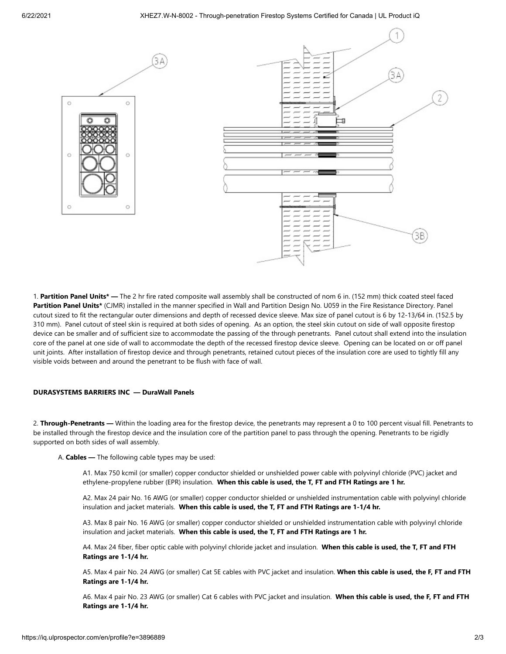

RΔ



1. **Partition Panel Units\* —** The 2 hr fire rated composite wall assembly shall be constructed of nom 6 in. (152 mm) thick coated steel faced **Partition Panel Units\*** (CJMR) installed in the manner specified in Wall and Partition Design No. U059 in the Fire Resistance Directory. Panel cutout sized to fit the rectangular outer dimensions and depth of recessed device sleeve. Max size of panel cutout is 6 by 12-13/64 in. (152.5 by 310 mm). Panel cutout of steel skin is required at both sides of opening. As an option, the steel skin cutout on side of wall opposite firestop device can be smaller and of sufficient size to accommodate the passing of the through penetrants. Panel cutout shall extend into the insulation core of the panel at one side of wall to accommodate the depth of the recessed firestop device sleeve. Opening can be located on or off panel unit joints. After installation of firestop device and through penetrants, retained cutout pieces of the insulation core are used to tightly fill any visible voids between and around the penetrant to be flush with face of wall.

#### **DURASYSTEMS BARRIERS INC — DuraWall Panels**

2. **Through-Penetrants —** Within the loading area for the firestop device, the penetrants may represent a 0 to 100 percent visual fill. Penetrants to be installed through the firestop device and the insulation core of the partition panel to pass through the opening. Penetrants to be rigidly supported on both sides of wall assembly.

A. **Cables —** The following cable types may be used:

A1. Max 750 kcmil (or smaller) copper conductor shielded or unshielded power cable with polyvinyl chloride (PVC) jacket and ethylene-propylene rubber (EPR) insulation. **When this cable is used, the T, FT and FTH Ratings are 1 hr.**

A2. Max 24 pair No. 16 AWG (or smaller) copper conductor shielded or unshielded instrumentation cable with polyvinyl chloride insulation and jacket materials. **When this cable is used, the T, FT and FTH Ratings are 1-1/4 hr.**

A3. Max 8 pair No. 16 AWG (or smaller) copper conductor shielded or unshielded instrumentation cable with polyvinyl chloride insulation and jacket materials. **When this cable is used, the T, FT and FTH Ratings are 1 hr.**

A4. Max 24 fiber, fiber optic cable with polyvinyl chloride jacket and insulation. **When this cable is used, the T, FT and FTH Ratings are 1-1/4 hr.** 

A5. Max 4 pair No. 24 AWG (or smaller) Cat 5E cables with PVC jacket and insulation. **When this cable is used, the F, FT and FTH Ratings are 1-1/4 hr.**

A6. Max 4 pair No. 23 AWG (or smaller) Cat 6 cables with PVC jacket and insulation. **When this cable is used, the F, FT and FTH Ratings are 1-1/4 hr.**